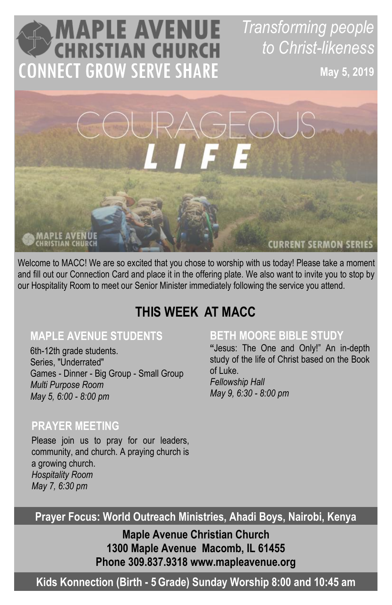# **MAPLE AVENUE**<br>CHRISTIAN CHURCH **CONNECT GROW SERVE SHARE**

*Transforming people to Christ-likeness*

**May 5, 2019**

# **PLE AVENU**

**CURRENT SERMON SERIES** 

Welcome to MACC! We are so excited that you chose to worship with us today! Please take a moment and fill out our Connection Card and place it in the offering plate. We also want to invite you to stop by our Hospitality Room to meet our Senior Minister immediately following the service you attend.

# **THIS WEEK AT MACC**

### **MAPLE AVENUE STUDENTS**

6th-12th grade students. Series, "Underrated" Games - Dinner - Big Group - Small Group *Multi Purpose Room May 5, 6:00 - 8:00 pm*

### **BETH MOORE BIBLE STUDY**

**"**Jesus: The One and Only!" An in-depth study of the life of Christ based on the Book of Luke.

*Fellowship Hall May 9, 6:30 - 8:00 pm*

#### **PRAYER MEETING**

Please join us to pray for our leaders, community, and church. A praying church is a growing church. *Hospitality Room May 7, 6:30 pm*

**Prayer Focus: World Outreach Ministries, Ahadi Boys, Nairobi, Kenya**

**Maple Avenue Christian Church 1300 Maple Avenue Macomb, IL 61455 Phone 309.837.9318 www.mapleavenue.org**

**Kids Konnection (Birth - 5Grade) Sunday Worship 8:00 and 10:45 am**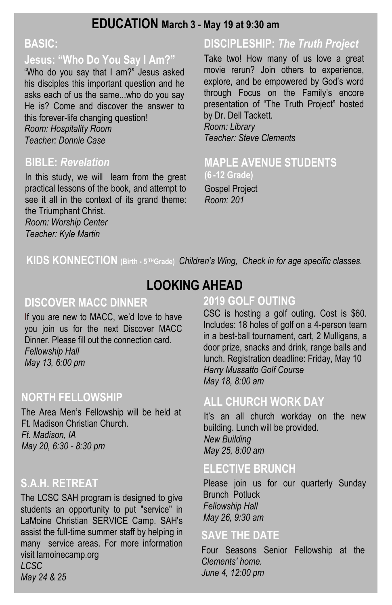#### **EDUCATION March 3 - May 19 at 9:30 am**

#### **BASIC:**

#### **Jesus: "Who Do You Say I Am?"**

"Who do you say that I am?" Jesus asked his disciples this important question and he asks each of us the same...who do you say He is? Come and discover the answer to this forever-life changing question! *Room: Hospitality Room Teacher: Donnie Case*

#### **BIBLE:** *Revelation*

In this study, we will learn from the great practical lessons of the book, and attempt to see it all in the context of its grand theme: the Triumphant Christ.

*Room: Worship Center Teacher: Kyle Martin*

## **DISCIPLESHIP:** *The Truth Project*

Take two! How many of us love a great movie rerun? Join others to experience, explore, and be empowered by God's word through Focus on the Family's encore presentation of "The Truth Project" hosted by Dr. Dell Tackett. *Room: Library*

*Teacher: Steve Clements*

#### **MAPLE AVENUE STUDENTS (6 -12 Grade)**

Gospel Project *Room: 201*

**KIDS KONNECTION** (Birth - 5<sup>TH</sup>Grade) *Children's Wing, Check in for age specific classes.* 

# **LOOKING AHEAD**

#### **DISCOVER MACC DINNER**

**I**f you are new to MACC, we'd love to have you join us for the next Discover MACC Dinner. Please fill out the connection card. *Fellowship Hall May 13, 6:00 pm*

#### **NORTH FELLOWSHIP**

The Area Men's Fellowship will be held at Ft. Madison Christian Church. *Ft. Madison, IA May 20, 6:30 - 8:30 pm*

#### **S.A.H. RETREAT**

The LCSC SAH program is designed to give students an opportunity to put "service" in LaMoine Christian SERVICE Camp. SAH's assist the full-time summer staff by helping in many service areas. For more information visit lamoinecamp.org *LCSC May 24 & 25*

#### **2019 GOLF OUTING**

CSC is hosting a golf outing. Cost is \$60. Includes: 18 holes of golf on a 4-person team in a best-ball tournament, cart, 2 Mulligans, a door prize, snacks and drink, range balls and lunch. Registration deadline: Friday, May 10 *Harry Mussatto Golf Course May 18, 8:00 am*

#### **ALL CHURCH WORK DAY**

It's an all church workday on the new building. Lunch will be provided. *New Building May 25, 8:00 am*

#### **ELECTIVE BRUNCH**

Please join us for our quarterly Sunday Brunch Potluck *Fellowship Hall May 26, 9:30 am*

#### **SAVE THE DATE**

Four Seasons Senior Fellowship at the *Clements' home. June 4, 12:00 pm*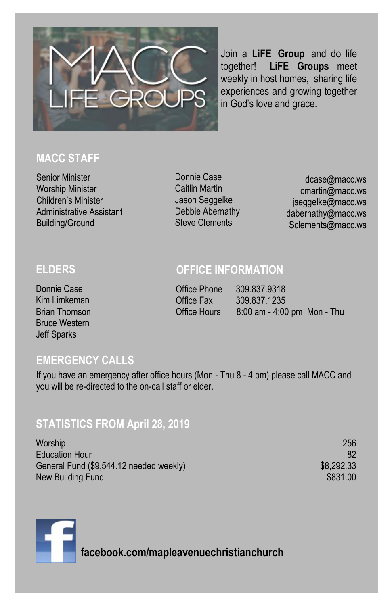

Join a **LiFE Group** and do life together! **LiFE Groups** meet weekly in host homes, sharing life experiences and growing together in God's love and grace.

#### **MACC STAFF**

Senior Minister Worship Minister Children's Minister Administrative Assistant Building/Ground

Donnie Case Caitlin Martin Jason Seggelke Debbie Abernathy Steve Clements

dcase@macc.ws cmartin@macc.ws jseggelke@macc.ws dabernathy@macc.ws Sclements@macc.ws

#### **ELDERS**

Donnie Case Kim Limkeman Brian Thomson Bruce Western Jeff Sparks

#### **OFFICE INFORMATION**

Office Phone 309.837.9318 Office Fax 309.837.1235 Office Hours 8:00 am - 4:00 pm Mon - Thu

#### **EMERGENCY CALLS**

If you have an emergency after office hours (Mon - Thu 8 - 4 pm) please call MACC and you will be re-directed to the on-call staff or elder.

#### **STATISTICS FROM April 28, 2019**

Worship 256 Education Hour 82 General Fund (\$9,544.12 needed weekly) \$8,292.33 New Building Fund **\$831.00** and \$831.00

**facebook.com/mapleavenuechristianchurch**